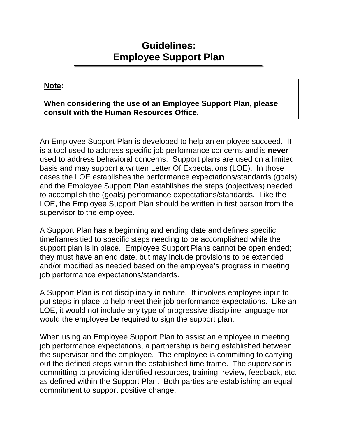## **Guidelines: Employee Support Plan**

## **Note:**

## **When considering the use of an Employee Support Plan, please consult with the Human Resources Office.**

An Employee Support Plan is developed to help an employee succeed. It is a tool used to address specific job performance concerns and is **never**  used to address behavioral concerns. Support plans are used on a limited basis and may support a written Letter Of Expectations (LOE). In those cases the LOE establishes the performance expectations/standards (goals) and the Employee Support Plan establishes the steps (objectives) needed to accomplish the (goals) performance expectations/standards. Like the LOE, the Employee Support Plan should be written in first person from the supervisor to the employee.

A Support Plan has a beginning and ending date and defines specific timeframes tied to specific steps needing to be accomplished while the support plan is in place. Employee Support Plans cannot be open ended; they must have an end date, but may include provisions to be extended and/or modified as needed based on the employee's progress in meeting job performance expectations/standards.

A Support Plan is not disciplinary in nature. It involves employee input to put steps in place to help meet their job performance expectations. Like an LOE, it would not include any type of progressive discipline language nor would the employee be required to sign the support plan.

When using an Employee Support Plan to assist an employee in meeting job performance expectations, a partnership is being established between the supervisor and the employee. The employee is committing to carrying out the defined steps within the established time frame. The supervisor is committing to providing identified resources, training, review, feedback, etc. as defined within the Support Plan. Both parties are establishing an equal commitment to support positive change.